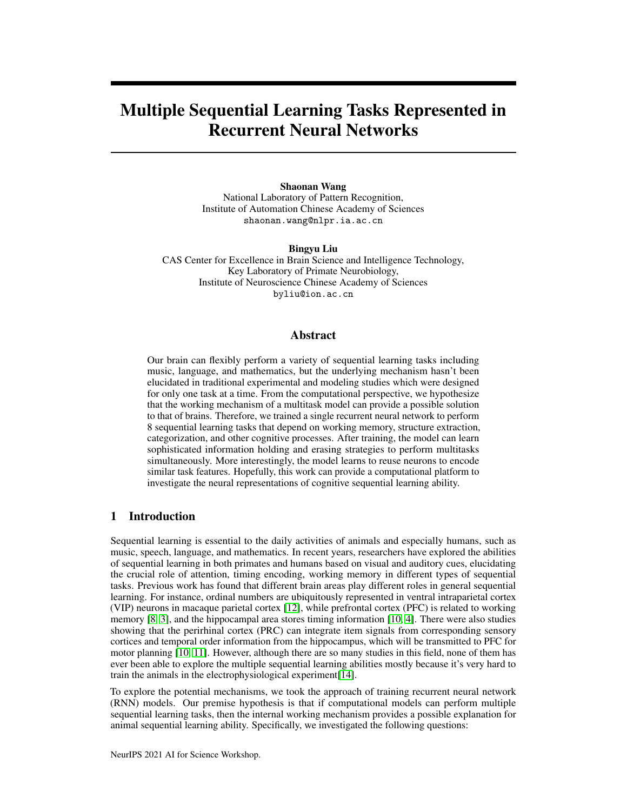# Multiple Sequential Learning Tasks Represented in Recurrent Neural Networks

## Shaonan Wang National Laboratory of Pattern Recognition, Institute of Automation Chinese Academy of Sciences shaonan.wang@nlpr.ia.ac.cn

Bingyu Liu CAS Center for Excellence in Brain Science and Intelligence Technology, Key Laboratory of Primate Neurobiology, Institute of Neuroscience Chinese Academy of Sciences byliu@ion.ac.cn

# Abstract

Our brain can flexibly perform a variety of sequential learning tasks including music, language, and mathematics, but the underlying mechanism hasn't been elucidated in traditional experimental and modeling studies which were designed for only one task at a time. From the computational perspective, we hypothesize that the working mechanism of a multitask model can provide a possible solution to that of brains. Therefore, we trained a single recurrent neural network to perform 8 sequential learning tasks that depend on working memory, structure extraction, categorization, and other cognitive processes. After training, the model can learn sophisticated information holding and erasing strategies to perform multitasks simultaneously. More interestingly, the model learns to reuse neurons to encode similar task features. Hopefully, this work can provide a computational platform to investigate the neural representations of cognitive sequential learning ability.

# 1 Introduction

Sequential learning is essential to the daily activities of animals and especially humans, such as music, speech, language, and mathematics. In recent years, researchers have explored the abilities of sequential learning in both primates and humans based on visual and auditory cues, elucidating the crucial role of attention, timing encoding, working memory in different types of sequential tasks. Previous work has found that different brain areas play different roles in general sequential learning. For instance, ordinal numbers are ubiquitously represented in ventral intraparietal cortex (VIP) neurons in macaque parietal cortex [\[12\]](#page-4-0), while prefrontal cortex (PFC) is related to working memory [\[8,](#page-4-1) [3\]](#page-4-2), and the hippocampal area stores timing information [\[10,](#page-4-3) [4\]](#page-4-4). There were also studies showing that the perirhinal cortex (PRC) can integrate item signals from corresponding sensory cortices and temporal order information from the hippocampus, which will be transmitted to PFC for motor planning [\[10,](#page-4-3) [11\]](#page-4-5). However, although there are so many studies in this field, none of them has ever been able to explore the multiple sequential learning abilities mostly because it's very hard to train the animals in the electrophysiological experiment[\[14\]](#page-4-6).

To explore the potential mechanisms, we took the approach of training recurrent neural network (RNN) models. Our premise hypothesis is that if computational models can perform multiple sequential learning tasks, then the internal working mechanism provides a possible explanation for animal sequential learning ability. Specifically, we investigated the following questions: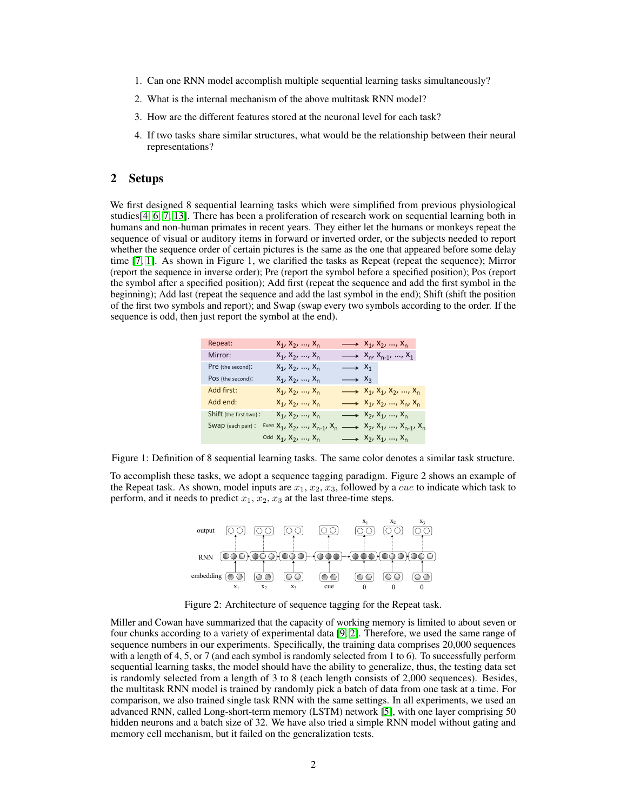- 1. Can one RNN model accomplish multiple sequential learning tasks simultaneously?
- 2. What is the internal mechanism of the above multitask RNN model?
- 3. How are the different features stored at the neuronal level for each task?
- 4. If two tasks share similar structures, what would be the relationship between their neural representations?

## 2 Setups

We first designed 8 sequential learning tasks which were simplified from previous physiological studies[\[4,](#page-4-4) [6,](#page-4-7) [7,](#page-4-8) [13\]](#page-4-9). There has been a proliferation of research work on sequential learning both in humans and non-human primates in recent years. They either let the humans or monkeys repeat the sequence of visual or auditory items in forward or inverted order, or the subjects needed to report whether the sequence order of certain pictures is the same as the one that appeared before some delay time [\[7,](#page-4-8) [1\]](#page-4-10). As shown in Figure 1, we clarified the tasks as Repeat (repeat the sequence); Mirror (report the sequence in inverse order); Pre (report the symbol before a specified position); Pos (report the symbol after a specified position); Add first (repeat the sequence and add the first symbol in the beginning); Add last (repeat the sequence and add the last symbol in the end); Shift (shift the position **Task design:**  of the first two symbols and report); and Swap (swap every two symbols according to the order. If the sequence is odd, then just report the symbol at the end).

| Repeat:                | $x_1, x_2, , x_n$                                                 | $\longrightarrow$ $X_1, X_2, , X_n$             |
|------------------------|-------------------------------------------------------------------|-------------------------------------------------|
| Mirror:                | $x_1, x_2, , x_n$                                                 | $\longrightarrow$ $X_{n}$ , $X_{n-1}$ , , $X_1$ |
| Pre (the second):      | $x_1, x_2, , x_n$                                                 | $\longrightarrow$ $x_1$                         |
| POS (the second):      | $x_1, x_2, , x_n$                                                 | $\longrightarrow$ $x_3$                         |
| Add first:             | $x_1, x_2, , x_n$                                                 | $\longrightarrow$ $x_1, x_1, x_2, , x_n$        |
| Add end:               | $x_1, x_2, , x_n$                                                 | $\longrightarrow$ $X_1, X_2, , X_n, X_n$        |
| Shift (the first two): | $x_1, x_2, , x_n$                                                 | $\longrightarrow$ $X_2, X_1, , X_n$             |
| Swap (each pair):      | Even $X_1, X_2, , X_{n-1}, X_n$                                   | $\longrightarrow$ $x_2, x_1, , x_{n-1}, x_n$    |
|                        | <sup>Odd</sup> X <sub>1</sub> , X <sub>2</sub> , , X <sub>n</sub> | $\longrightarrow$ $x_2, x_1, , x_n$             |

Figure 1: Definition of 8 sequential learning tasks. The same color denotes a similar task structure.

To accomplish these tasks, we adopt a sequence tagging paradigm. Figure 2 shows an example of the Repeat task. As shown, model inputs are  $x_1, x_2, x_3$ , followed by a *cue* to indicate which task to perform, and it needs to predict  $x_1, x_2, x_3$  at the last three-time steps.



Figure 2: Architecture of sequence tagging for the Repeat task.

Miller and Cowan have summarized that the capacity of working memory is limited to about seven or four chunks according to a variety of experimental data [\[9,](#page-4-11) [2\]](#page-4-12). Therefore, we used the same range of sequence numbers in our experiments. Specifically, the training data comprises 20,000 sequences with a length of 4, 5, or 7 (and each symbol is randomly selected from 1 to 6). To successfully perform sequential learning tasks, the model should have the ability to generalize, thus, the testing data set is randomly selected from a length of 3 to 8 (each length consists of 2,000 sequences). Besides, the multitask RNN model is trained by randomly pick a batch of data from one task at a time. For comparison, we also trained single task RNN with the same settings. In all experiments, we used an advanced RNN, called Long-short-term memory (LSTM) network [\[5\]](#page-4-13), with one layer comprising 50 hidden neurons and a batch size of 32. We have also tried a simple RNN model without gating and memory cell mechanism, but it failed on the generalization tests.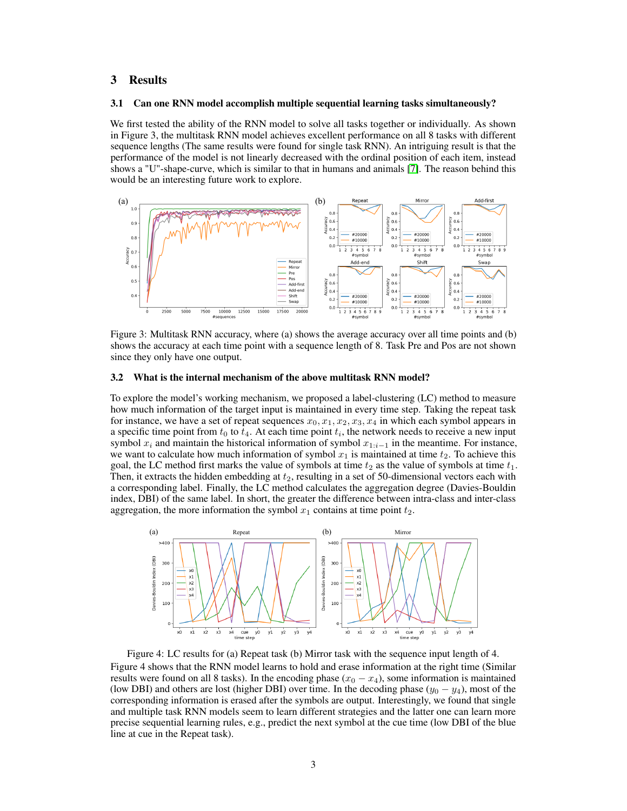# 3 Results

#### 3.1 Can one RNN model accomplish multiple sequential learning tasks simultaneously?

We first tested the ability of the RNN model to solve all tasks together or individually. As shown in Figure 3, the multitask RNN model achieves excellent performance on all 8 tasks with different sequence lengths (The same results were found for single task RNN). An intriguing result is that the performance of the model is not linearly decreased with the ordinal position of each item, instead shows a "U"-shape-curve, which is similar to that in humans and animals [\[7\]](#page-4-8). The reason behind this would be an interesting future work to explore.



Figure 3: Multitask RNN accuracy, where (a) shows the average accuracy over all time points and (b) shows the accuracy at each time point with a sequence length of 8. Task Pre and Pos are not shown since they only have one output.

#### 3.2 What is the internal mechanism of the above multitask RNN model?

To explore the model's working mechanism, we proposed a label-clustering (LC) method to measure how much information of the target input is maintained in every time step. Taking the repeat task for instance, we have a set of repeat sequences  $x_0, x_1, x_2, x_3, x_4$  in which each symbol appears in a specific time point from  $t_0$  to  $t_4$ . At each time point  $t_i$ , the network needs to receive a new input symbol  $x_i$  and maintain the historical information of symbol  $x_{1:i-1}$  in the meantime. For instance, we want to calculate how much information of symbol  $x_1$  is maintained at time  $t_2$ . To achieve this goal, the LC method first marks the value of symbols at time  $t_2$  as the value of symbols at time  $t_1$ . Then, it extracts the hidden embedding at  $t_2$ , resulting in a set of 50-dimensional vectors each with a corresponding label. Finally, the LC method calculates the aggregation degree (Davies-Bouldin index, DBI) of the same label. In short, the greater the difference between intra-class and inter-class aggregation, the more information the symbol  $x_1$  contains at time point  $t_2$ .



Figure 4: LC results for (a) Repeat task (b) Mirror task with the sequence input length of 4. Figure 4 shows that the RNN model learns to hold and erase information at the right time (Similar results were found on all 8 tasks). In the encoding phase  $(x_0 - x_4)$ , some information is maintained (low DBI) and others are lost (higher DBI) over time. In the decoding phase  $(y_0 - y_4)$ , most of the corresponding information is erased after the symbols are output. Interestingly, we found that single and multiple task RNN models seem to learn different strategies and the latter one can learn more precise sequential learning rules, e.g., predict the next symbol at the cue time (low DBI of the blue line at cue in the Repeat task).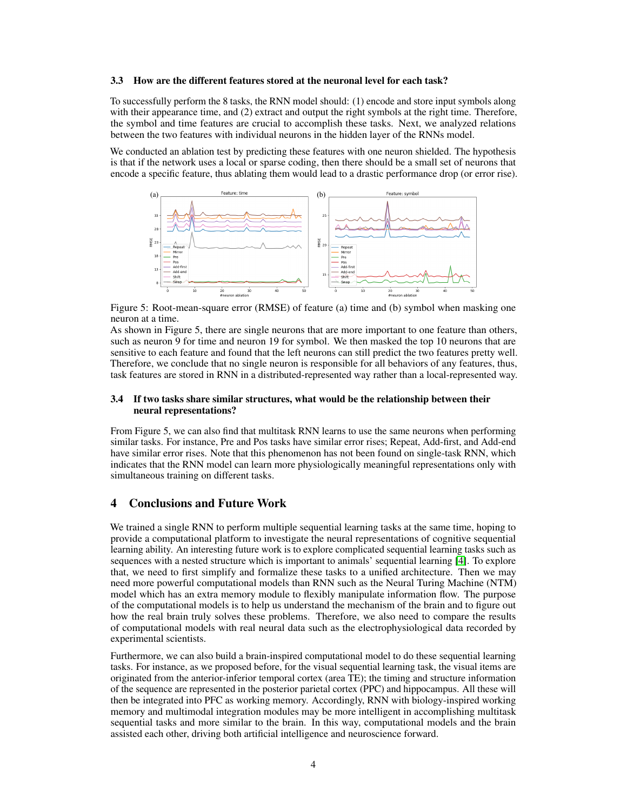#### 3.3 How are the different features stored at the neuronal level for each task?

To successfully perform the 8 tasks, the RNN model should: (1) encode and store input symbols along with their appearance time, and (2) extract and output the right symbols at the right time. Therefore, the symbol and time features are crucial to accomplish these tasks. Next, we analyzed relations between the two features with individual neurons in the hidden layer of the RNNs model.

We conducted an ablation test by predicting these features with one neuron shielded. The hypothesis is that if the network uses a local or sparse coding, then there should be a small set of neurons that encode a specific feature, thus ablating them would lead to a drastic performance drop (or error rise).



Figure 5: Root-mean-square error (RMSE) of feature (a) time and (b) symbol when masking one neuron at a time.

As shown in Figure 5, there are single neurons that are more important to one feature than others, such as neuron 9 for time and neuron 19 for symbol. We then masked the top 10 neurons that are sensitive to each feature and found that the left neurons can still predict the two features pretty well. Therefore, we conclude that no single neuron is responsible for all behaviors of any features, thus, task features are stored in RNN in a distributed-represented way rather than a local-represented way.

## 3.4 If two tasks share similar structures, what would be the relationship between their neural representations?

From Figure 5, we can also find that multitask RNN learns to use the same neurons when performing similar tasks. For instance, Pre and Pos tasks have similar error rises; Repeat, Add-first, and Add-end have similar error rises. Note that this phenomenon has not been found on single-task RNN, which indicates that the RNN model can learn more physiologically meaningful representations only with simultaneous training on different tasks.

# 4 Conclusions and Future Work

We trained a single RNN to perform multiple sequential learning tasks at the same time, hoping to provide a computational platform to investigate the neural representations of cognitive sequential learning ability. An interesting future work is to explore complicated sequential learning tasks such as sequences with a nested structure which is important to animals' sequential learning [\[4\]](#page-4-4). To explore that, we need to first simplify and formalize these tasks to a unified architecture. Then we may need more powerful computational models than RNN such as the Neural Turing Machine (NTM) model which has an extra memory module to flexibly manipulate information flow. The purpose of the computational models is to help us understand the mechanism of the brain and to figure out how the real brain truly solves these problems. Therefore, we also need to compare the results of computational models with real neural data such as the electrophysiological data recorded by experimental scientists.

Furthermore, we can also build a brain-inspired computational model to do these sequential learning tasks. For instance, as we proposed before, for the visual sequential learning task, the visual items are originated from the anterior-inferior temporal cortex (area TE); the timing and structure information of the sequence are represented in the posterior parietal cortex (PPC) and hippocampus. All these will then be integrated into PFC as working memory. Accordingly, RNN with biology-inspired working memory and multimodal integration modules may be more intelligent in accomplishing multitask sequential tasks and more similar to the brain. In this way, computational models and the brain assisted each other, driving both artificial intelligence and neuroscience forward.